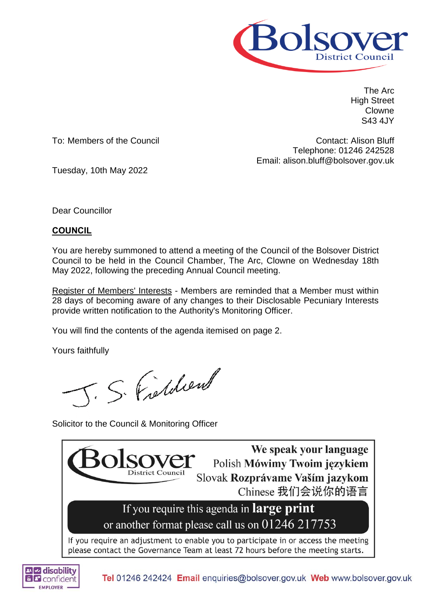

The Arc High Street Clowne S43 4JY

To: Members of the Council

Contact: Alison Bluff Telephone: 01246 242528 Email: alison.bluff@bolsover.gov.uk

Tuesday, 10th May 2022

Dear Councillor

# **COUNCIL**

You are hereby summoned to attend a meeting of the Council of the Bolsover District Council to be held in the Council Chamber, The Arc, Clowne on Wednesday 18th May 2022, following the preceding Annual Council meeting.

Register of Members' Interests - Members are reminded that a Member must within 28 days of becoming aware of any changes to their Disclosable Pecuniary Interests provide written notification to the Authority's Monitoring Officer.

You will find the contents of the agenda itemised on page 2.

Yours faithfully

J. S. Fishdien

Solicitor to the Council & Monitoring Officer